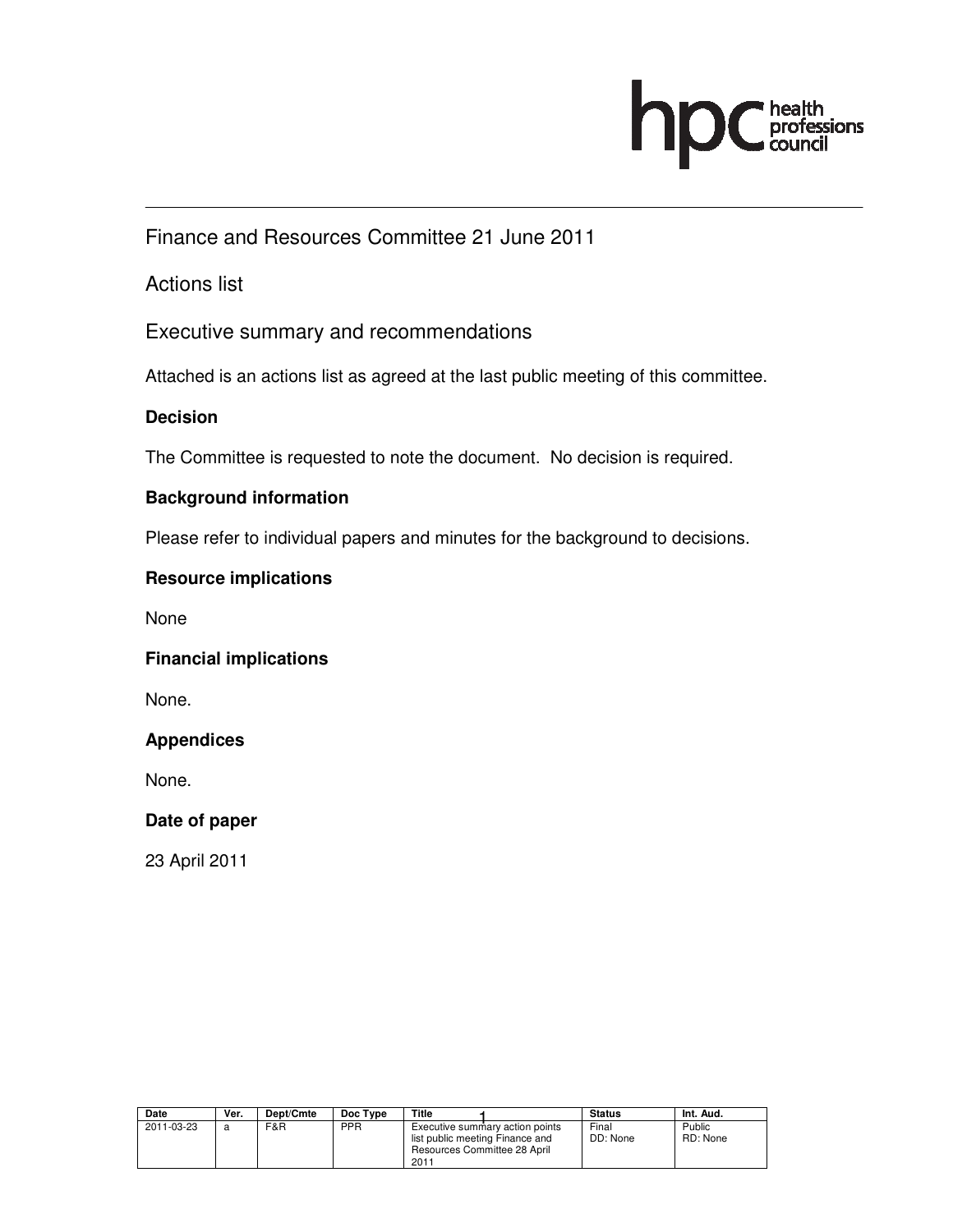

Finance and Resources Committee 21 June 2011

Actions list

Executive summary and recommendations

Attached is an actions list as agreed at the last public meeting of this committee.

### **Decision**

The Committee is requested to note the document. No decision is required.

#### **Background information**

Please refer to individual papers and minutes for the background to decisions.

#### **Resource implications**

None

#### **Financial implications**

None.

#### **Appendices**

None.

#### **Date of paper**

23 April 2011

| Date       | Ver. | Dept/Cmte | Doc Type | Title                                                                   |                                 | <b>Status</b>     | Int. Aud.          |
|------------|------|-----------|----------|-------------------------------------------------------------------------|---------------------------------|-------------------|--------------------|
| 2011-03-23 | a    | F&R       | PPR      | list public meeting Finance and<br>Resources Committee 28 April<br>2011 | Executive summary action points | Final<br>DD: None | Public<br>RD: None |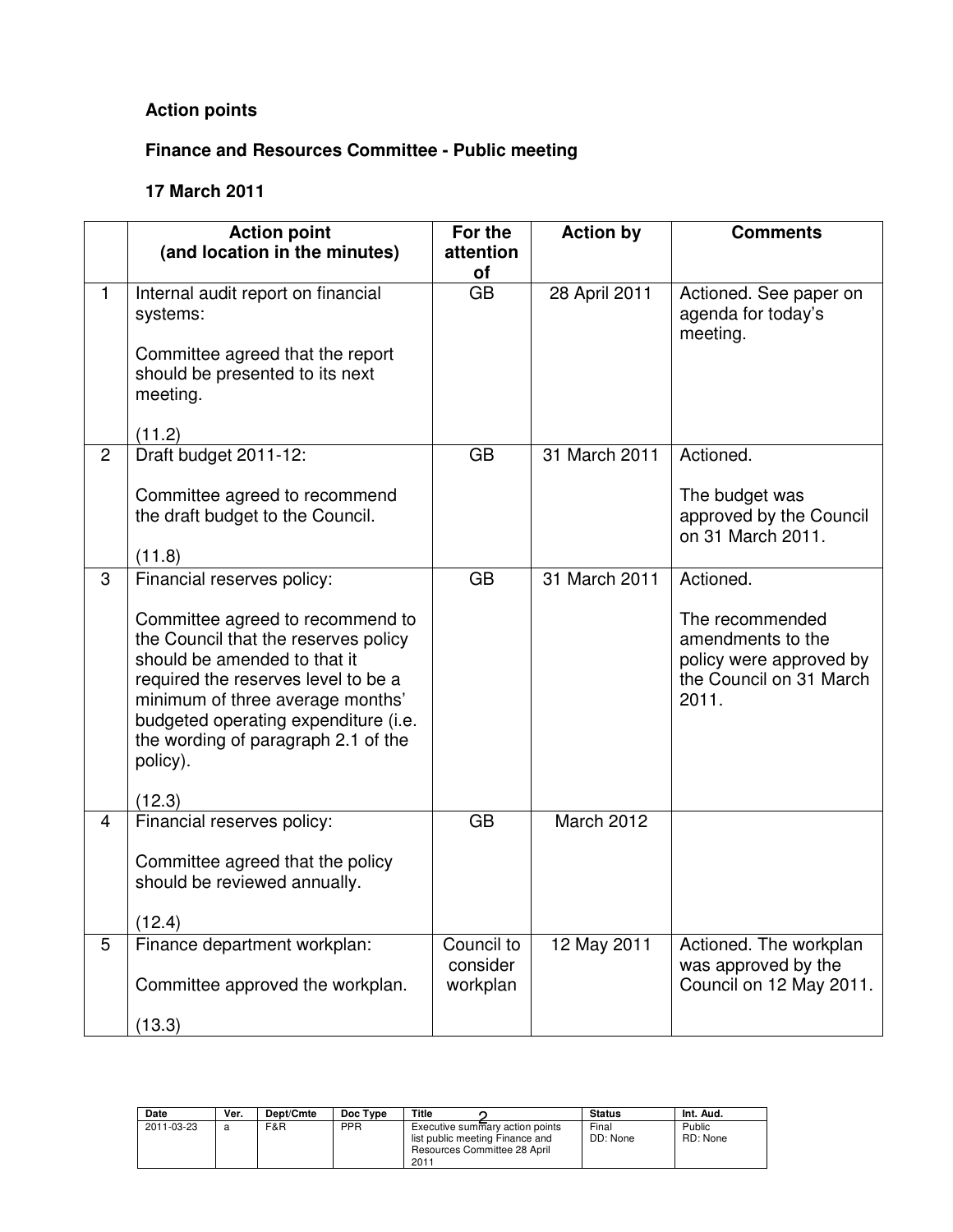## **Action points**

# **Finance and Resources Committee - Public meeting**

## **17 March 2011**

|                | <b>Action point</b>                                                                                                                                                                                                                                                                                                    | For the                            | <b>Action by</b> | <b>Comments</b>                                                                                                  |  |
|----------------|------------------------------------------------------------------------------------------------------------------------------------------------------------------------------------------------------------------------------------------------------------------------------------------------------------------------|------------------------------------|------------------|------------------------------------------------------------------------------------------------------------------|--|
|                | (and location in the minutes)                                                                                                                                                                                                                                                                                          | attention<br>οf                    |                  |                                                                                                                  |  |
| $\mathbf{1}$   | Internal audit report on financial<br>systems:                                                                                                                                                                                                                                                                         | $\overline{GB}$                    | 28 April 2011    | Actioned. See paper on<br>agenda for today's<br>meeting.                                                         |  |
|                | Committee agreed that the report<br>should be presented to its next<br>meeting.                                                                                                                                                                                                                                        |                                    |                  |                                                                                                                  |  |
| $\overline{c}$ | (11.2)<br>Draft budget 2011-12:                                                                                                                                                                                                                                                                                        | <b>GB</b>                          | 31 March 2011    | Actioned.                                                                                                        |  |
|                |                                                                                                                                                                                                                                                                                                                        |                                    |                  |                                                                                                                  |  |
|                | Committee agreed to recommend<br>the draft budget to the Council.                                                                                                                                                                                                                                                      |                                    |                  | The budget was<br>approved by the Council<br>on 31 March 2011.                                                   |  |
|                | (11.8)                                                                                                                                                                                                                                                                                                                 |                                    |                  |                                                                                                                  |  |
| 3              | Financial reserves policy:<br>Committee agreed to recommend to<br>the Council that the reserves policy<br>should be amended to that it<br>required the reserves level to be a<br>minimum of three average months'<br>budgeted operating expenditure (i.e.<br>the wording of paragraph 2.1 of the<br>policy).<br>(12.3) | <b>GB</b>                          | 31 March 2011    | Actioned.<br>The recommended<br>amendments to the<br>policy were approved by<br>the Council on 31 March<br>2011. |  |
| 4              | Financial reserves policy:<br>Committee agreed that the policy<br>should be reviewed annually.<br>(12.4)                                                                                                                                                                                                               | <b>GB</b>                          | March 2012       |                                                                                                                  |  |
| 5              | Finance department workplan:<br>Committee approved the workplan.<br>(13.3)                                                                                                                                                                                                                                             | Council to<br>consider<br>workplan | 12 May 2011      | Actioned. The workplan<br>was approved by the<br>Council on 12 May 2011.                                         |  |

| Date       | Ver. | Dept/Cmte | Doc Type | Title                                                                                                      | <b>Status</b>     | Int. Aud.          |
|------------|------|-----------|----------|------------------------------------------------------------------------------------------------------------|-------------------|--------------------|
| 2011-03-23 |      | F&R       | PPR      | Executive summary action points<br>list public meeting Finance and<br>Resources Committee 28 April<br>2011 | Final<br>DD: None | Public<br>RD: None |